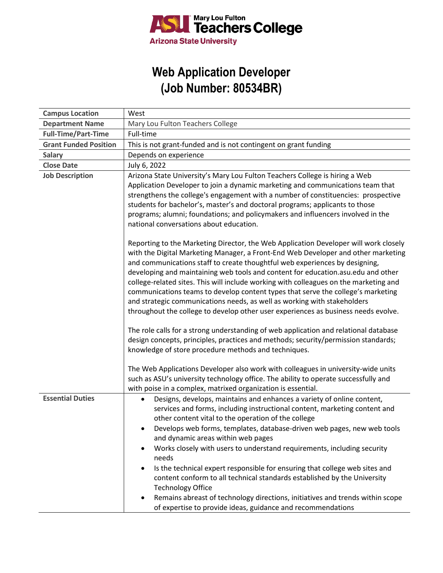

## **Web Application Developer (Job Number: 80534BR)**

| <b>Campus Location</b>       | West                                                                                                                                                                                                                                                                                                                                                                                                                                                                                                                                                                                                                                                                                                                         |
|------------------------------|------------------------------------------------------------------------------------------------------------------------------------------------------------------------------------------------------------------------------------------------------------------------------------------------------------------------------------------------------------------------------------------------------------------------------------------------------------------------------------------------------------------------------------------------------------------------------------------------------------------------------------------------------------------------------------------------------------------------------|
| <b>Department Name</b>       | Mary Lou Fulton Teachers College                                                                                                                                                                                                                                                                                                                                                                                                                                                                                                                                                                                                                                                                                             |
| <b>Full-Time/Part-Time</b>   | Full-time                                                                                                                                                                                                                                                                                                                                                                                                                                                                                                                                                                                                                                                                                                                    |
| <b>Grant Funded Position</b> | This is not grant-funded and is not contingent on grant funding                                                                                                                                                                                                                                                                                                                                                                                                                                                                                                                                                                                                                                                              |
| Salary                       | Depends on experience                                                                                                                                                                                                                                                                                                                                                                                                                                                                                                                                                                                                                                                                                                        |
| <b>Close Date</b>            | July 6, 2022                                                                                                                                                                                                                                                                                                                                                                                                                                                                                                                                                                                                                                                                                                                 |
| <b>Job Description</b>       | Arizona State University's Mary Lou Fulton Teachers College is hiring a Web<br>Application Developer to join a dynamic marketing and communications team that<br>strengthens the college's engagement with a number of constituencies: prospective<br>students for bachelor's, master's and doctoral programs; applicants to those<br>programs; alumni; foundations; and policymakers and influencers involved in the<br>national conversations about education.<br>Reporting to the Marketing Director, the Web Application Developer will work closely<br>with the Digital Marketing Manager, a Front-End Web Developer and other marketing<br>and communications staff to create thoughtful web experiences by designing, |
|                              | developing and maintaining web tools and content for education.asu.edu and other<br>college-related sites. This will include working with colleagues on the marketing and<br>communications teams to develop content types that serve the college's marketing<br>and strategic communications needs, as well as working with stakeholders<br>throughout the college to develop other user experiences as business needs evolve.<br>The role calls for a strong understanding of web application and relational database                                                                                                                                                                                                      |
|                              | design concepts, principles, practices and methods; security/permission standards;<br>knowledge of store procedure methods and techniques.<br>The Web Applications Developer also work with colleagues in university-wide units                                                                                                                                                                                                                                                                                                                                                                                                                                                                                              |
|                              | such as ASU's university technology office. The ability to operate successfully and<br>with poise in a complex, matrixed organization is essential.                                                                                                                                                                                                                                                                                                                                                                                                                                                                                                                                                                          |
| <b>Essential Duties</b>      | Designs, develops, maintains and enhances a variety of online content,<br>services and forms, including instructional content, marketing content and<br>other content vital to the operation of the college<br>Develops web forms, templates, database-driven web pages, new web tools<br>and dynamic areas within web pages                                                                                                                                                                                                                                                                                                                                                                                                 |
|                              | Works closely with users to understand requirements, including security<br>$\bullet$<br>needs<br>Is the technical expert responsible for ensuring that college web sites and<br>$\bullet$<br>content conform to all technical standards established by the University<br><b>Technology Office</b><br>Remains abreast of technology directions, initiatives and trends within scope                                                                                                                                                                                                                                                                                                                                           |
|                              | of expertise to provide ideas, guidance and recommendations                                                                                                                                                                                                                                                                                                                                                                                                                                                                                                                                                                                                                                                                  |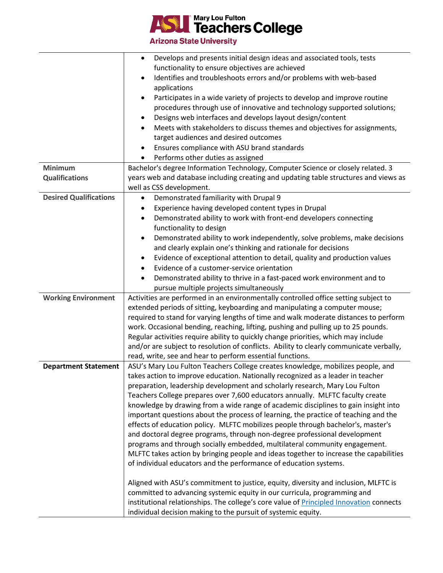

**Arizona State University** 

|                               | Develops and presents initial design ideas and associated tools, tests                         |
|-------------------------------|------------------------------------------------------------------------------------------------|
|                               | functionality to ensure objectives are achieved                                                |
|                               | Identifies and troubleshoots errors and/or problems with web-based<br>applications             |
|                               | Participates in a wide variety of projects to develop and improve routine                      |
|                               | procedures through use of innovative and technology supported solutions;                       |
|                               | Designs web interfaces and develops layout design/content                                      |
|                               | Meets with stakeholders to discuss themes and objectives for assignments,                      |
|                               | target audiences and desired outcomes                                                          |
|                               | Ensures compliance with ASU brand standards                                                    |
|                               | Performs other duties as assigned                                                              |
| <b>Minimum</b>                | Bachelor's degree Information Technology, Computer Science or closely related. 3               |
| <b>Qualifications</b>         | years web and database including creating and updating table structures and views as           |
|                               | well as CSS development.                                                                       |
| <b>Desired Qualifications</b> | Demonstrated familiarity with Drupal 9                                                         |
|                               | Experience having developed content types in Drupal                                            |
|                               | Demonstrated ability to work with front-end developers connecting<br>$\bullet$                 |
|                               | functionality to design                                                                        |
|                               | Demonstrated ability to work independently, solve problems, make decisions                     |
|                               | and clearly explain one's thinking and rationale for decisions                                 |
|                               | Evidence of exceptional attention to detail, quality and production values                     |
|                               | Evidence of a customer-service orientation                                                     |
|                               | Demonstrated ability to thrive in a fast-paced work environment and to                         |
|                               | pursue multiple projects simultaneously                                                        |
| <b>Working Environment</b>    | Activities are performed in an environmentally controlled office setting subject to            |
|                               | extended periods of sitting, keyboarding and manipulating a computer mouse;                    |
|                               | required to stand for varying lengths of time and walk moderate distances to perform           |
|                               | work. Occasional bending, reaching, lifting, pushing and pulling up to 25 pounds.              |
|                               | Regular activities require ability to quickly change priorities, which may include             |
|                               | and/or are subject to resolution of conflicts. Ability to clearly communicate verbally,        |
|                               | read, write, see and hear to perform essential functions.                                      |
| <b>Department Statement</b>   | ASU's Mary Lou Fulton Teachers College creates knowledge, mobilizes people, and                |
|                               | takes action to improve education. Nationally recognized as a leader in teacher                |
|                               | preparation, leadership development and scholarly research, Mary Lou Fulton                    |
|                               | Teachers College prepares over 7,600 educators annually. MLFTC faculty create                  |
|                               | knowledge by drawing from a wide range of academic disciplines to gain insight into            |
|                               | important questions about the process of learning, the practice of teaching and the            |
|                               | effects of education policy. MLFTC mobilizes people through bachelor's, master's               |
|                               | and doctoral degree programs, through non-degree professional development                      |
|                               | programs and through socially embedded, multilateral community engagement.                     |
|                               | MLFTC takes action by bringing people and ideas together to increase the capabilities          |
|                               | of individual educators and the performance of education systems.                              |
|                               | Aligned with ASU's commitment to justice, equity, diversity and inclusion, MLFTC is            |
|                               | committed to advancing systemic equity in our curricula, programming and                       |
|                               | institutional relationships. The college's core value of <b>Principled Innovation</b> connects |
|                               | individual decision making to the pursuit of systemic equity.                                  |
|                               |                                                                                                |